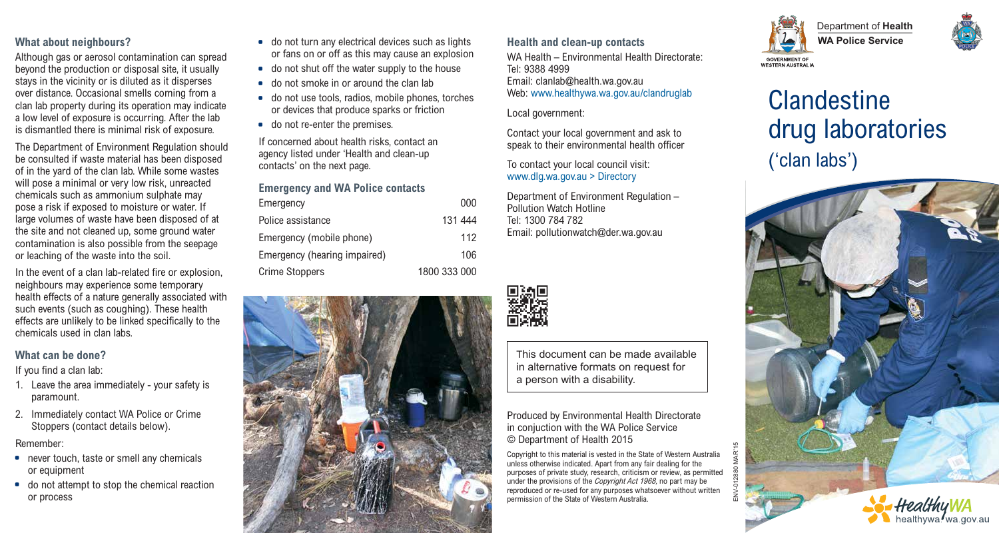## **What about neighbours?**

Although gas or aerosol contamination can spread beyond the production or disposal site, it usually stays in the vicinity or is diluted as it disperses over distance. Occasional smells coming from a clan lab property during its operation may indicate a low level of exposure is occurring. After the lab is dismantled there is minimal risk of exposure.

The Department of Environment Regulation should be consulted if waste material has been disposed of in the yard of the clan lab. While some wastes will pose a minimal or very low risk, unreacted chemicals such as ammonium sulphate may pose a risk if exposed to moisture or water. If large volumes of waste have been disposed of at the site and not cleaned up, some ground water contamination is also possible from the seepage or leaching of the waste into the soil.

In the event of a clan lab-related fire or explosion, neighbours may experience some temporary health effects of a nature generally associated with such events (such as coughing). These health effects are unlikely to be linked specifically to the chemicals used in clan labs.

#### **What can be done?**

If you find a clan lab:

- 1. Leave the area immediately your safety is paramount.
- 2. Immediately contact WA Police or Crime Stoppers (contact details below).

Remember:

- never touch, taste or smell any chemicals or equipment
- \* do not attempt to stop the chemical reaction or process
- do not turn any electrical devices such as lights or fans on or off as this may cause an explosion
- do not shut off the water supply to the house
- do not smoke in or around the clan lab
- do not use tools, radios, mobile phones, torches or devices that produce sparks or friction
- do not re-enter the premises.

If concerned about health risks, contact an agency listed under 'Health and clean-up contacts' on the next page.

## **Emergency and WA Police contacts**

| Emergency                    | 000          |
|------------------------------|--------------|
| Police assistance            | 131 444      |
| Emergency (mobile phone)     | 112          |
| Emergency (hearing impaired) | 106          |
| <b>Crime Stoppers</b>        | 1800 333 000 |



#### **Health and clean-up contacts**

WA Health – Environmental Health Directorate: Tel: 9388 4999 Email: clanlab@health.wa.gov.au Web: www.healthywa.wa.gov.au/clandruglab

Local government:

Contact your local government and ask to speak to their environmental health officer

To contact your local council visit: www.dlg.wa.gov.au > Directory

Department of Environment Regulation – Pollution Watch Hotline Tel: 1300 784 782 Email: pollutionwatch@der.wa.gov.au



This document can be made available in alternative formats on request for a person with a disability.

Produced by Environmental Health Directorate in conjuction with the WA Police Service © Department of Health 2015

Copyright to this material is vested in the State of Western Australia unless otherwise indicated. Apart from any fair dealing for the purposes of private study, research, criticism or review, as permitted under the provisions of the *Copyright Act 1968*, no part may be reproduced or re-used for any purposes whatsoever without written permission of the State of Western Australia.



## Department of **Health WA Police Service**



# **Clandestine** drug laboratories ('clan labs')